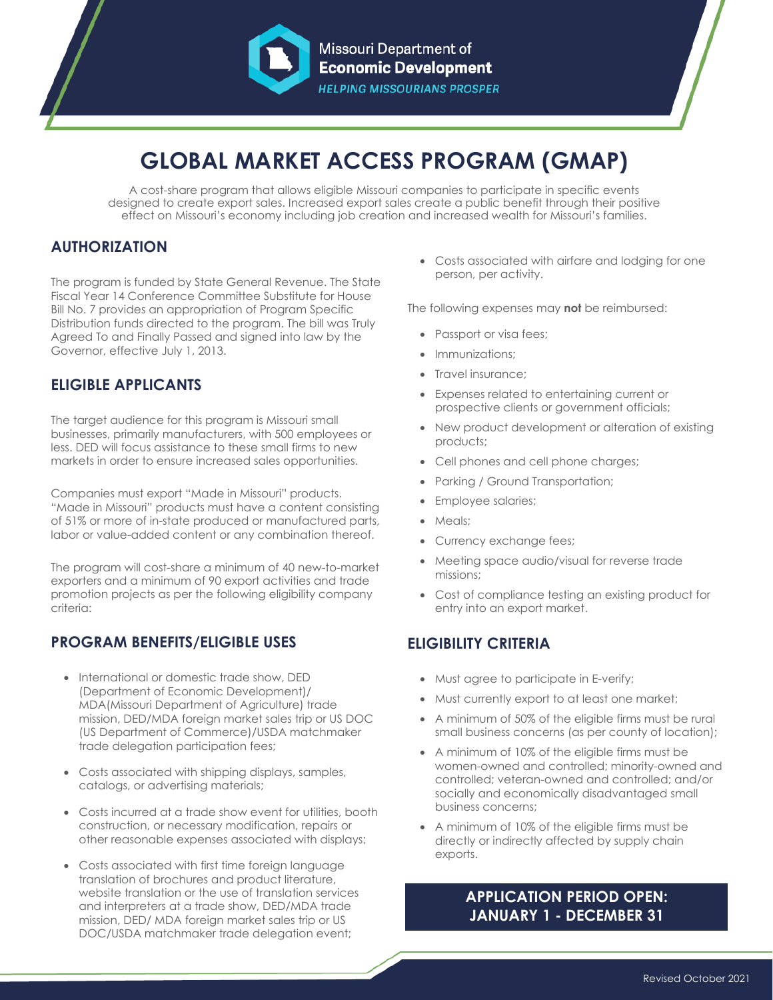

# **GLOBAL MARKET ACCESS PROGRAM (GMAP)**

A cost-share program that allows eligible Missouri companies to participate in specific events designed to create export sales. Increased export sales create a public benefit through their positive effect on Missouri's economy including job creation and increased wealth for Missouri's families.

## **AUTHORIZATION**

The program is funded by State General Revenue. The State Fiscal Year 14 Conference Committee Substitute for House Bill No. 7 provides an appropriation of Program Specific Distribution funds directed to the program. The bill was Truly Agreed To and Finally Passed and signed into law by the Governor, effective July 1, 2013.

## **ELIGIBLE APPLICANTS**

The target audience for this program is Missouri small businesses, primarily manufacturers, with 500 employees or less. DED will focus assistance to these small firms to new markets in order to ensure increased sales opportunities.

Companies must export "Made in Missouri" products. "Made in Missouri" products must have a content consisting of 51% or more of in-state produced or manufactured parts, labor or value-added content or any combination thereof.

The program will cost-share a minimum of 40 new-to-market exporters and a minimum of 90 export activities and trade promotion projects as per the following eligibility company criteria:

## **PROGRAM BENEFITS/ELIGIBLE USES**

- International or domestic trade show, DED (Department of Economic Development)/ MDA(Missouri Department of Agriculture) trade mission, DED/MDA foreign market sales trip or US DOC (US Department of Commerce)/USDA matchmaker trade delegation participation fees;
- Costs associated with shipping displays, samples, catalogs, or advertising materials;
- Costs incurred at a trade show event for utilities, booth construction, or necessary modification, repairs or other reasonable expenses associated with displays;
- Costs associated with first time foreign language translation of brochures and product literature, website translation or the use of translation services and interpreters at a trade show, DED/MDA trade mission, DED/ MDA foreign market sales trip or US DOC/USDA matchmaker trade delegation event;

• Costs associated with airfare and lodging for one person, per activity.

The following expenses may **not** be reimbursed:

- Passport or visa fees:
- Immunizations:
- Travel insurance;
- Expenses related to entertaining current or prospective clients or government officials;
- New product development or alteration of existing products;
- Cell phones and cell phone charges;
- Parking / Ground Transportation;
- Employee salaries;
- Meals;
- Currency exchange fees;
- Meeting space audio/visual for reverse trade missions;
- Cost of compliance testing an existing product for entry into an export market.

## **ELIGIBILITY CRITERIA**

- Must agree to participate in E-verify;
- Must currently export to at least one market;
- A minimum of 50% of the eligible firms must be rural small business concerns (as per county of location);
- A minimum of 10% of the eligible firms must be women-owned and controlled; minority-owned and controlled; veteran-owned and controlled; and/or socially and economically disadvantaged small business concerns;
- A minimum of 10% of the eligible firms must be directly or indirectly affected by supply chain exports.

## **APPLICATION PERIOD OPEN: JANUARY 1 - DECEMBER 31**